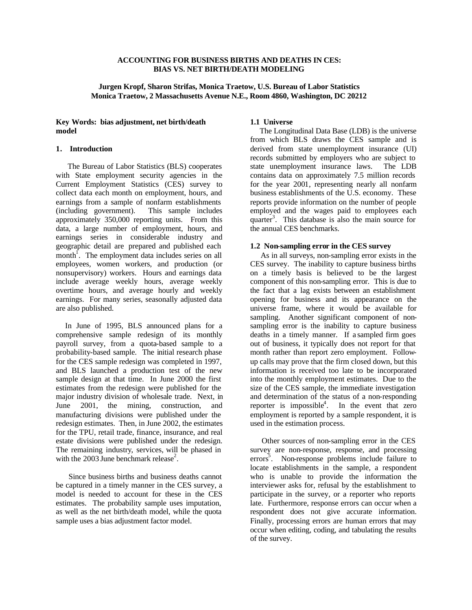# **ACCOUNTING FOR BUSINESS BIRTHS AND DEATHS IN CES: BIAS VS. NET BIRTH/DEATH MODELING**

# **Jurgen Kropf, Sharon Strifas, Monica Traetow, U.S. Bureau of Labor Statistics Monica Traetow, 2 Massachusetts Avenue N.E., Room 4860, Washington, DC 20212**

# **Key Words: bias adjustment, net birth/death model**

# **1. Introduction**

 The Bureau of Labor Statistics (BLS) cooperates with State employment security agencies in the Current Employment Statistics (CES) survey to collect data each month on employment, hours, and earnings from a sample of nonfarm establishments (including government). This sample includes approximately 350,000 reporting units. From this data, a large number of employment, hours, and earnings series in considerable industry and geographic detail are prepared and published each month<sup>1</sup>. The employment data includes series on all employees, women workers, and production (or nonsupervisory) workers. Hours and earnings data include average weekly hours, average weekly overtime hours, and average hourly and weekly earnings. For many series, seasonally adjusted data are also published.

 In June of 1995, BLS announced plans for a comprehensive sample redesign of its monthly payroll survey, from a quota-based sample to a probability-based sample. The initial research phase for the CES sample redesign was completed in 1997, and BLS launched a production test of the new sample design at that time. In June 2000 the first estimates from the redesign were published for the major industry division of wholesale trade. Next, in June 2001, the mining, construction, and manufacturing divisions were published under the redesign estimates. Then, in June 2002, the estimates for the TPU, retail trade, finance, insurance, and real estate divisions were published under the redesign. The remaining industry, services, will be phased in with the  $2003$  June benchmark release<sup>2</sup>.

 Since business births and business deaths cannot be captured in a timely manner in the CES survey, a model is needed to account for these in the CES estimates. The probability sample uses imputation, as well as the net birth/death model, while the quota sample uses a bias adjustment factor model.

# **1.1 Universe**

 The Longitudinal Data Base (LDB) is the universe from which BLS draws the CES sample and is derived from state unemployment insurance (UI) records submitted by employers who are subject to state unemployment insurance laws. The LDB contains data on approximately 7.5 million records for the year 2001, representing nearly all nonfarm business establishments of the U.S. economy. These reports provide information on the number of people employed and the wages paid to employees each quarter<sup>3</sup>. This database is also the main source for the annual CES benchmarks.

# **1.2 Non-sampling error in the CES survey**

 As in all surveys, non-sampling error exists in the CES survey. The inability to capture business births on a timely basis is believed to be the largest component of this non-sampling error. This is due to the fact that a lag exists between an establishment opening for business and its appearance on the universe frame, where it would be available for sampling. Another significant component of nonsampling error is the inability to capture business deaths in a timely manner. If a sampled firm goes out of business, it typically does not report for that month rather than report zero employment. Followup calls may prove that the firm closed down, but this information is received too late to be incorporated into the monthly employment estimates. Due to the size of the CES sample, the immediate investigation and determination of the status of a non-responding reporter is impossible<sup>4</sup>. In the event that zero employment is reported by a sample respondent, it is used in the estimation process.

 Other sources of non-sampling error in the CES survey are non-response, response, and processing errors<sup>5</sup>. Non-response problems include failure to locate establishments in the sample, a respondent who is unable to provide the information the interviewer asks for, refusal by the establishment to participate in the survey, or a reporter who reports late. Furthermore, response errors can occur when a respondent does not give accurate information. Finally, processing errors are human errors that may occur when editing, coding, and tabulating the results of the survey.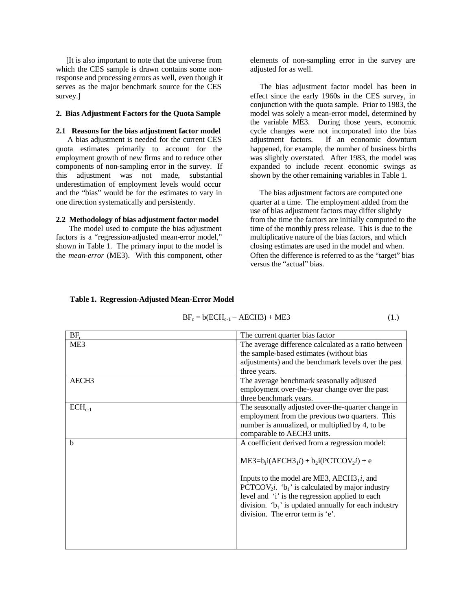[It is also important to note that the universe from which the CES sample is drawn contains some nonresponse and processing errors as well, even though it serves as the major benchmark source for the CES survey.]

## **2. Bias Adjustment Factors for the Quota Sample**

## **2.1 Reasons for the bias adjustment factor model**

 A bias adjustment is needed for the current CES quota estimates primarily to account for the employment growth of new firms and to reduce other components of non-sampling error in the survey. If this adjustment was not made, substantial underestimation of employment levels would occur and the "bias" would be for the estimates to vary in one direction systematically and persistently.

# **2.2 Methodology of bias adjustment factor model**

 The model used to compute the bias adjustment factors is a "regression-adjusted mean-error model," shown in Table 1. The primary input to the model is the *mean-error* (ME3). With this component, other elements of non-sampling error in the survey are adjusted for as well.

 The bias adjustment factor model has been in effect since the early 1960s in the CES survey, in conjunction with the quota sample. Prior to 1983, the model was solely a mean-error model, determined by the variable ME3. During those years, economic cycle changes were not incorporated into the bias adjustment factors. If an economic downturn happened, for example, the number of business births was slightly overstated. After 1983, the model was expanded to include recent economic swings as shown by the other remaining variables in Table 1.

 The bias adjustment factors are computed one quarter at a time. The employment added from the use of bias adjustment factors may differ slightly from the time the factors are initially computed to the time of the monthly press release. This is due to the multiplicative nature of the bias factors, and which closing estimates are used in the model and when. Often the difference is referred to as the "target" bias versus the "actual" bias.

| $BF_c$            | The current quarter bias factor                                                  |
|-------------------|----------------------------------------------------------------------------------|
| ME <sub>3</sub>   | The average difference calculated as a ratio between                             |
|                   | the sample-based estimates (without bias                                         |
|                   | adjustments) and the benchmark levels over the past                              |
|                   | three years.                                                                     |
| AECH <sub>3</sub> | The average benchmark seasonally adjusted                                        |
|                   | employment over-the-year change over the past                                    |
|                   | three benchmark years.                                                           |
| $ECH_{c-1}$       | The seasonally adjusted over-the-quarter change in                               |
|                   | employment from the previous two quarters. This                                  |
|                   | number is annualized, or multiplied by 4, to be                                  |
|                   | comparable to AECH3 units.                                                       |
| b                 | A coefficient derived from a regression model:                                   |
|                   |                                                                                  |
|                   | $ME3=b_1i(AECH3_1i) + b_2i(PCTCOV_2i) + e$                                       |
|                   |                                                                                  |
|                   | Inputs to the model are ME3, $AECH3_1i$ , and                                    |
|                   | PCTCOV <sub>2</sub> <i>i</i> . 'b <sub>1</sub> ' is calculated by major industry |
|                   | level and 'i' is the regression applied to each                                  |
|                   | division. $b_1$ ' is updated annually for each industry                          |
|                   | division. The error term is 'e'.                                                 |
|                   |                                                                                  |
|                   |                                                                                  |
|                   |                                                                                  |

#### **Table 1. Regression-Adjusted Mean-Error Model**

 $BF_c = b(ECH_{c-1} - AECH3) + ME3$  (1.)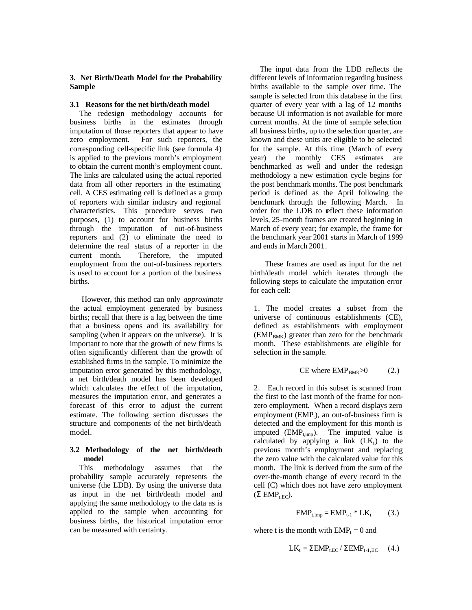# **3. Net Birth/Death Model for the Probability Sample**

#### **3.1 Reasons for the net birth/death model**

 The redesign methodology accounts for business births in the estimates through imputation of those reporters that appear to have zero employment. For such reporters, the corresponding cell-specific link (see formula 4) is applied to the previous month's employment to obtain the current month's employment count. The links are calculated using the actual reported data from all other reporters in the estimating cell. A CES estimating cell is defined as a group of reporters with similar industry and regional characteristics. This procedure serves two purposes, (1) to account for business births through the imputation of out-of-business reporters and (2) to eliminate the need to determine the real status of a reporter in the current month. Therefore, the imputed employment from the out-of-business reporters is used to account for a portion of the business births.

 However, this method can only *approximate* the actual employment generated by business births; recall that there is a lag between the time that a business opens and its availability for sampling (when it appears on the universe). It is important to note that the growth of new firms is often significantly different than the growth of established firms in the sample. To minimize the imputation error generated by this methodology, a net birth/death model has been developed which calculates the effect of the imputation, measures the imputation error, and generates a forecast of this error to adjust the current estimate. The following section discusses the structure and components of the net birth/death model.

# **3.2 Methodology of the net birth/death model**

 This methodology assumes that the probability sample accurately represents the universe (the LDB). By using the universe data as input in the net birth/death model and applying the same methodology to the data as is applied to the sample when accounting for business births, the historical imputation error can be measured with certainty.

 The input data from the LDB reflects the different levels of information regarding business births available to the sample over time. The sample is selected from this database in the first quarter of every year with a lag of 12 months because UI information is not available for more current months. At the time of sample selection all business births, up to the selection quarter, are known and these units are eligible to be selected for the sample. At this time (March of every year) the monthly CES estimates are benchmarked as well and under the redesign methodology a new estimation cycle begins for the post benchmark months. The post benchmark period is defined as the April following the benchmark through the following March. In order for the LDB to reflect these information levels, 25-month frames are created beginning in March of every year; for example, the frame for the benchmark year 2001 starts in March of 1999 and ends in March 2001.

 These frames are used as input for the net birth/death model which iterates through the following steps to calculate the imputation error for each cell:

1. The model creates a subset from the universe of continuous establishments (CE), defined as establishments with employment  $(EMP<sub>BMK</sub>)$  greater than zero for the benchmark month. These establishments are eligible for selection in the sample.

$$
CE where EMPBMK > 0 \tag{2.}
$$

2. Each record in this subset is scanned from the first to the last month of the frame for nonzero employment. When a record displays zero employment (EMP<sub>t</sub>), an out-of-business firm is detected and the employment for this month is imputed  $(EMP<sub>time</sub>)$ . The imputed value is calculated by applying a link  $(LK_t)$  to the previous month's employment and replacing the zero value with the calculated value for this month. The link is derived from the sum of the over-the-month change of every record in the cell (C) which does not have zero employment (Σ EMP<sub>t.EC</sub>).

$$
EMP_{t,imp} = EMP_{t-1} * LK_t \qquad (3.)
$$

where t is the month with  $EMP_t = 0$  and

$$
LK_{t} = \Sigma EMP_{t,EC} / \Sigma EMP_{t-1,EC} \quad (4.)
$$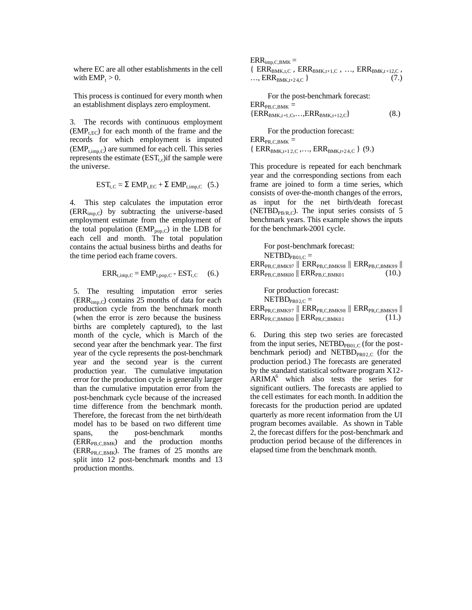where EC are all other establishments in the cell with  $EMP_t > 0$ .

This process is continued for every month when an establishment displays zero employment.

3. The records with continuous employment  $(EMP_{t,EC})$  for each month of the frame and the records for which employment is imputed  $(EMP_{time,C})$  are summed for each cell. This series represents the estimate  $(EST_t)$  if the sample were the universe.

$$
EST_{t,C} = \Sigma EMP_{t,EC} + \Sigma EMP_{t,imp,C}
$$
 (5.)

4. This step calculates the imputation error  $(ERR_{imp,C})$  by subtracting the universe-based employment estimate from the employment of the total population  $(EMP_{\text{pop},C})$  in the LDB for each cell and month. The total population contains the actual business births and deaths for the time period each frame covers.

$$
ERR_{t,imp,C} = EMP_{t,pop,C} - EST_{t,C} \quad (6.)
$$

5. The resulting imputation error series  $(ERR_{\text{inn},C})$  contains 25 months of data for each production cycle from the benchmark month (when the error is zero because the business births are completely captured), to the last month of the cycle, which is March of the second year after the benchmark year. The first year of the cycle represents the post-benchmark year and the second year is the current production year. The cumulative imputation error for the production cycle is generally larger than the cumulative imputation error from the post-benchmark cycle because of the increased time difference from the benchmark month. Therefore, the forecast from the net birth/death model has to be based on two different time spans, the post-benchmark months  $(ERR<sub>PB,C,BMK</sub>)$  and the production months  $(ERR_{PR} C, BMK)$ . The frames of 25 months are split into 12 post-benchmark months and 13 production months.

 $ERR_{\text{imp.C.BMK}} =$  ${R}$  ERR<sub>BMK,t,C</sub>, ERR<sub>BMK,t+1,C</sub>, ..., ERR<sub>BMK,t+12,C</sub>, ...,  $ERR_{BMK,t+24,C}$  (7.)

 For the post-benchmark forecast:  $ERR<sub>PB.C.BMK</sub> =$  ${ERR_{BMK,t+1,C}, \ldots, ERR_{BMK,t+12,C}}$  (8.)

 For the production forecast:  $ERR<sub>PR.C.BMK</sub> =$  ${ERR_{BMK,t+12,C},...,ERR_{BMK,t+24,C}} (9.)$ 

This procedure is repeated for each benchmark year and the corresponding sections from each frame are joined to form a time series, which consists of over-the-month changes of the errors, as input for the net birth/death forecast (NETBD<sub>PB/R C</sub>). The input series consists of 5 benchmark years. This example shows the inputs for the benchmark-2001 cycle.

For post-benchmark forecast:  $NETBD_{PRO1,C}$  =  $\text{ERR}_{\text{PB},\text{C},\text{BMK97}}$  ||  $\text{ERR}_{\text{PB},\text{C},\text{BMK98}}$  ||  $\text{ERR}_{\text{PB},\text{C},\text{BMK99}}$  ||  $ERR<sub>PB,C,BMK00</sub>$  ||  $ERR<sub>PB,C,BMK01</sub>$ (10.)

For production forecast:  $NETBD_{PRO2,C}$  =  $\text{ERR}_{PR, C, BMK97}$  ||  $\text{ERR}_{PR, C, BMK98}$  ||  $\text{ERR}_{PR, C, BMK99}$  ||  $ERR<sub>PR,C,BMK00</sub>$  ||  $ERR<sub>PR,C,BMK01</sub>$ (11.)

6. During this step two series are forecasted from the input series, NETBD<sub>PB01,C</sub> (for the postbenchmark period) and NETBD $_{PRO2,C}$  (for the production period.) The forecasts are generated by the standard statistical software program X12-  $ARIMA<sup>6</sup>$  which also tests the series for significant outliers. The forecasts are applied to the cell estimates for each month. In addition the forecasts for the production period are updated quarterly as more recent information from the UI program becomes available. As shown in Table 2, the forecast differs for the post-benchmark and production period because of the differences in elapsed time from the benchmark month.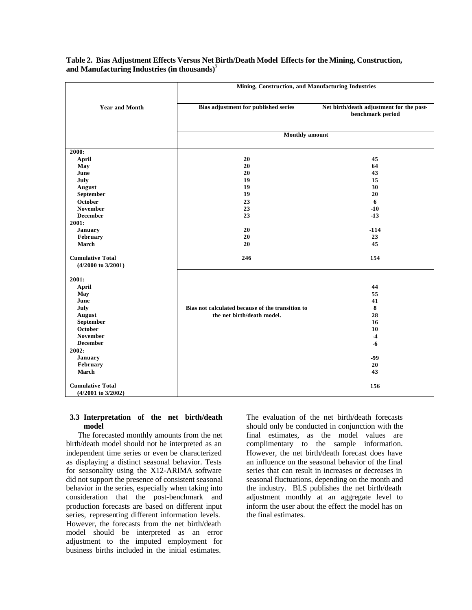|                                                          | Mining, Construction, and Manufacturing Industries |                                                              |  |
|----------------------------------------------------------|----------------------------------------------------|--------------------------------------------------------------|--|
| <b>Year and Month</b>                                    | Bias adjustment for published series               | Net birth/death adjustment for the post-<br>benchmark period |  |
|                                                          | <b>Monthly</b> amount                              |                                                              |  |
| 2000:                                                    |                                                    |                                                              |  |
| April                                                    | 20                                                 | 45                                                           |  |
| May                                                      | 20                                                 | 64                                                           |  |
| June                                                     | 20                                                 | 43                                                           |  |
| July                                                     | 19                                                 | 15                                                           |  |
| August                                                   | 19                                                 | 30                                                           |  |
| September                                                | 19                                                 | 20                                                           |  |
| October                                                  | 23                                                 | 6                                                            |  |
| <b>November</b>                                          | 23                                                 | $-10$                                                        |  |
| <b>December</b>                                          | 23                                                 | $-13$                                                        |  |
| 2001:                                                    |                                                    |                                                              |  |
| January                                                  | 20                                                 | $-114$                                                       |  |
| February                                                 | 20                                                 | 23                                                           |  |
| <b>March</b>                                             | 20                                                 | 45                                                           |  |
| <b>Cumulative Total</b><br>$(4/2000 \text{ to } 3/2001)$ | 246                                                | 154                                                          |  |
| 2001:                                                    |                                                    |                                                              |  |
| April                                                    |                                                    | 44                                                           |  |
| May                                                      |                                                    | 55                                                           |  |
| June                                                     |                                                    | 41                                                           |  |
| July                                                     | Bias not calculated because of the transition to   | 8                                                            |  |
| August                                                   | the net birth/death model.                         | 28                                                           |  |
| September                                                |                                                    | 16                                                           |  |
| October                                                  |                                                    | 10                                                           |  |
| <b>November</b>                                          |                                                    | $-4$                                                         |  |
| <b>December</b>                                          |                                                    | $-6$                                                         |  |
| 2002:                                                    |                                                    |                                                              |  |
| January                                                  |                                                    | -99                                                          |  |
| February                                                 |                                                    | 20                                                           |  |
| <b>March</b>                                             |                                                    | 43                                                           |  |
| <b>Cumulative Total</b><br>$(4/2001$ to $3/2002)$        |                                                    | 156                                                          |  |

**Table 2. Bias Adjustment Effects Versus Net Birth/Death Model Effects for the Mining, Construction, and Manufacturing Industries (in thousands)<sup>7</sup>**

# **3.3 Interpretation of the net birth/death model**

 The forecasted monthly amounts from the net birth/death model should not be interpreted as an independent time series or even be characterized as displaying a distinct seasonal behavior. Tests for seasonality using the X12-ARIMA software did not support the presence of consistent seasonal behavior in the series, especially when taking into consideration that the post-benchmark and production forecasts are based on different input series, representing different information levels. However, the forecasts from the net birth/death model should be interpreted as an error adjustment to the imputed employment for business births included in the initial estimates.

The evaluation of the net birth/death forecasts should only be conducted in conjunction with the final estimates, as the model values are complimentary to the sample information. However, the net birth/death forecast does have an influence on the seasonal behavior of the final series that can result in increases or decreases in seasonal fluctuations, depending on the month and the industry. BLS publishes the net birth/death adjustment monthly at an aggregate level to inform the user about the effect the model has on the final estimates.